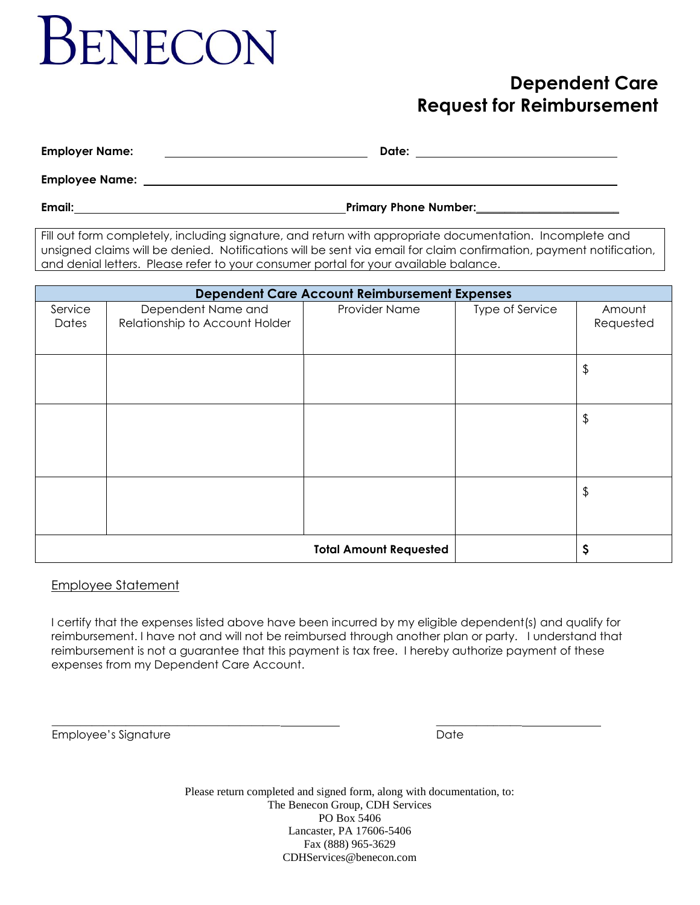# **SENECON**

# **Dependent Care Request for Reimbursement**

**Employer Name: Date:** 

**Employee Name:** 

**Email: Primary Phone Number:\_\_\_\_\_\_\_\_\_\_\_\_\_\_\_\_\_\_\_\_\_\_\_\_\_** 

Fill out form completely, including signature, and return with appropriate documentation. Incomplete and unsigned claims will be denied. Notifications will be sent via email for claim confirmation, payment notification, and denial letters. Please refer to your consumer portal for your available balance.

| <b>Dependent Care Account Reimbursement Expenses</b> |                                                      |               |                 |                     |
|------------------------------------------------------|------------------------------------------------------|---------------|-----------------|---------------------|
| Service<br>Dates                                     | Dependent Name and<br>Relationship to Account Holder | Provider Name | Type of Service | Amount<br>Requested |
|                                                      |                                                      |               |                 | \$                  |
|                                                      |                                                      |               |                 | \$                  |
|                                                      |                                                      |               |                 | \$                  |
|                                                      |                                                      |               | \$              |                     |

# Employee Statement

I certify that the expenses listed above have been incurred by my eligible dependent(s) and qualify for reimbursement. I have not and will not be reimbursed through another plan or party. I understand that reimbursement is not a guarantee that this payment is tax free. I hereby authorize payment of these expenses from my Dependent Care Account.

\_\_\_\_\_\_\_\_\_\_\_\_\_\_\_\_\_\_\_\_\_\_\_\_\_\_\_\_\_\_\_\_\_\_\_\_\_\_\_\_ \_\_\_\_\_\_\_\_\_\_\_\_\_\_\_

Employee's Signature **Date** Date Date Date Date

Please return completed and signed form, along with documentation, to: The Benecon Group, CDH Services PO Box 5406 Lancaster, PA 17606-5406 Fax (888) 965-3629 CDHServices@benecon.com